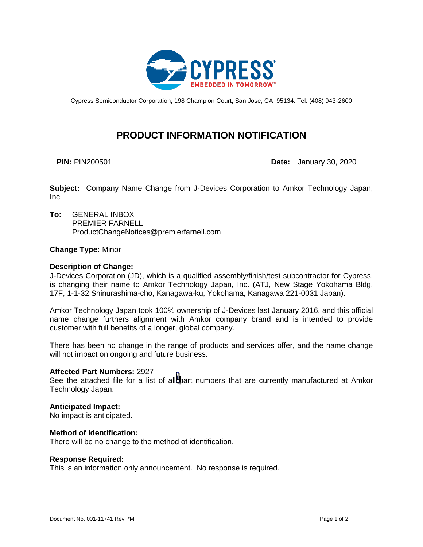

Cypress Semiconductor Corporation, 198 Champion Court, San Jose, CA 95134. Tel: (408) 943-2600

# **PRODUCT INFORMATION NOTIFICATION**

**PIN:** PIN200501 **Date:** January 30, 2020

**Subject:** Company Name Change from J-Devices Corporation to Amkor Technology Japan, Inc

**To:** GENERAL INBOX PREMIER FARNELL ProductChangeNotices@premierfarnell.com

# **Change Type:** Minor

# **Description of Change:**

J-Devices Corporation (JD), which is a qualified assembly/finish/test subcontractor for Cypress, is changing their name to Amkor Technology Japan, Inc. (ATJ, New Stage Yokohama Bldg. 17F, 1-1-32 Shinurashima-cho, Kanagawa-ku, Yokohama, Kanagawa 221-0031 Japan).

Amkor Technology Japan took 100% ownership of J-Devices last January 2016, and this official name change furthers alignment with Amkor company brand and is intended to provide customer with full benefits of a longer, global company.

There has been no change in the range of products and services offer, and the name change will not impact on ongoing and future business.

### **Affected Part Numbers:** 2927

See the attached file for a list of all part numbers that are currently manufactured at Amkor Technology Japan.

# **Anticipated Impact:**

No impact is anticipated.

### **Method of Identification:**

There will be no change to the method of identification.

### **Response Required:**

This is an information only announcement. No response is required.